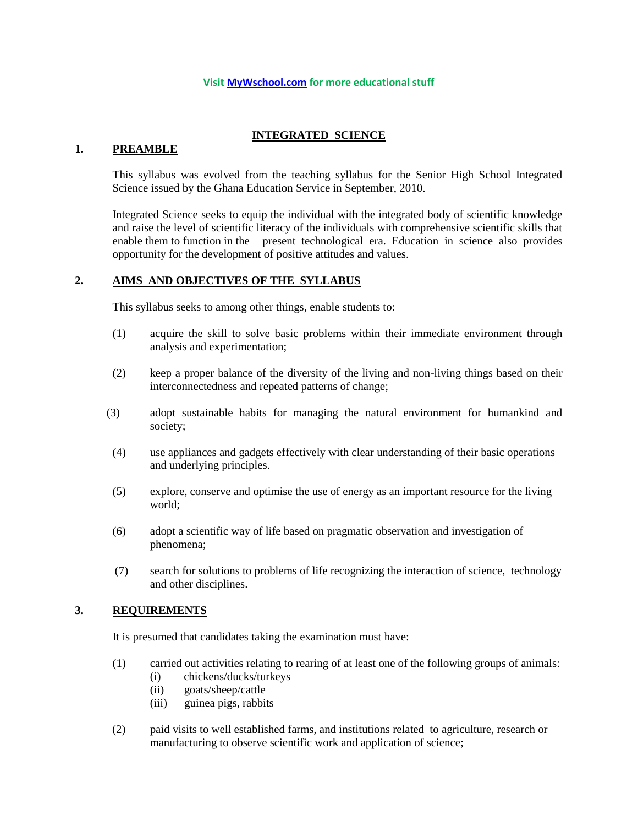#### **Visit [MyWschool.com](https://www.mywschool.com/) for more educational stuff**

### **INTEGRATED SCIENCE**

#### **1. PREAMBLE**

This syllabus was evolved from the teaching syllabus for the Senior High School Integrated Science issued by the Ghana Education Service in September, 2010.

Integrated Science seeks to equip the individual with the integrated body of scientific knowledge and raise the level of scientific literacy of the individuals with comprehensive scientific skills that enable them to function in the present technological era. Education in science also provides opportunity for the development of positive attitudes and values.

### **2. AIMS AND OBJECTIVES OF THE SYLLABUS**

This syllabus seeks to among other things, enable students to:

- (1) acquire the skill to solve basic problems within their immediate environment through analysis and experimentation;
- (2) keep a proper balance of the diversity of the living and non-living things based on their interconnectedness and repeated patterns of change;
- (3) adopt sustainable habits for managing the natural environment for humankind and society;
- (4) use appliances and gadgets effectively with clear understanding of their basic operations and underlying principles.
- (5) explore, conserve and optimise the use of energy as an important resource for the living world;
- (6) adopt a scientific way of life based on pragmatic observation and investigation of phenomena;
- (7) search for solutions to problems of life recognizing the interaction of science, technology and other disciplines.

## **3. REQUIREMENTS**

It is presumed that candidates taking the examination must have:

- (1) carried out activities relating to rearing of at least one of the following groups of animals:
	- (i) chickens/ducks/turkeys
	- (ii) goats/sheep/cattle
	- (iii) guinea pigs, rabbits
- (2) paid visits to well established farms, and institutions related to agriculture, research or manufacturing to observe scientific work and application of science;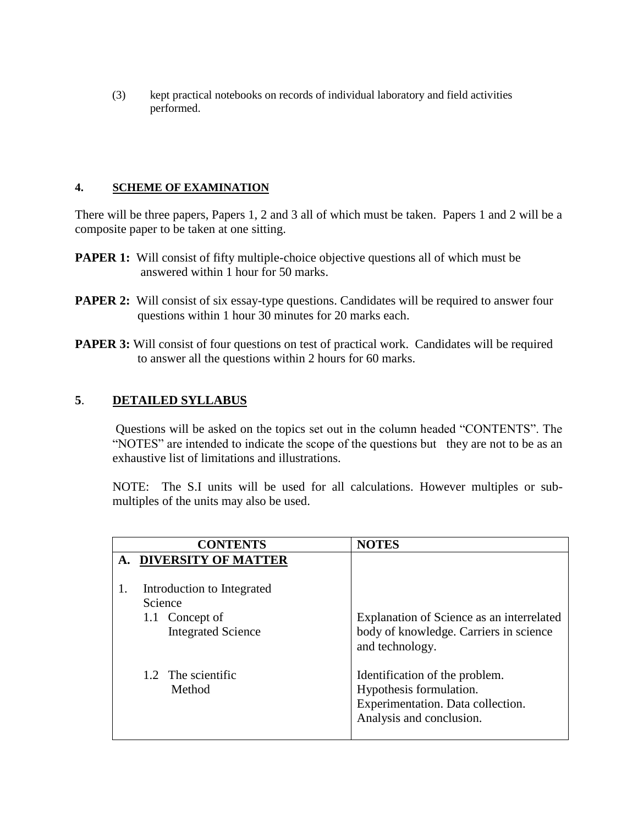(3) kept practical notebooks on records of individual laboratory and field activities performed.

## **4. SCHEME OF EXAMINATION**

There will be three papers, Papers 1, 2 and 3 all of which must be taken. Papers 1 and 2 will be a composite paper to be taken at one sitting.

- **PAPER 1:** Will consist of fifty multiple-choice objective questions all of which must be answered within 1 hour for 50 marks.
- **PAPER 2:** Will consist of six essay-type questions. Candidates will be required to answer four questions within 1 hour 30 minutes for 20 marks each.
- **PAPER 3:** Will consist of four questions on test of practical work. Candidates will be required to answer all the questions within 2 hours for 60 marks.

# **5**. **DETAILED SYLLABUS**

Questions will be asked on the topics set out in the column headed "CONTENTS". The "NOTES" are intended to indicate the scope of the questions but they are not to be as an exhaustive list of limitations and illustrations.

 NOTE: The S.I units will be used for all calculations. However multiples or submultiples of the units may also be used.

|    | <b>CONTENTS</b>                                                                      | <b>NOTES</b>                                                                                                               |
|----|--------------------------------------------------------------------------------------|----------------------------------------------------------------------------------------------------------------------------|
| A. | <b>DIVERSITY OF MATTER</b>                                                           |                                                                                                                            |
| 1. | Introduction to Integrated<br>Science<br>1.1 Concept of<br><b>Integrated Science</b> | Explanation of Science as an interrelated<br>body of knowledge. Carriers in science<br>and technology.                     |
|    | 1.2 The scientific<br>Method                                                         | Identification of the problem.<br>Hypothesis formulation.<br>Experimentation. Data collection.<br>Analysis and conclusion. |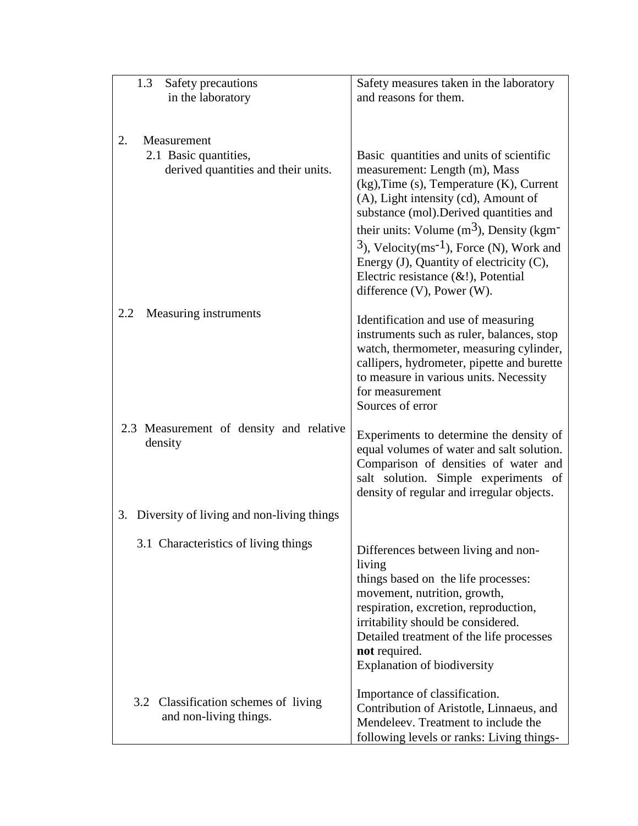| Safety precautions<br>1.3                                    | Safety measures taken in the laboratory                                           |
|--------------------------------------------------------------|-----------------------------------------------------------------------------------|
| in the laboratory                                            | and reasons for them.                                                             |
|                                                              |                                                                                   |
|                                                              |                                                                                   |
| 2.<br>Measurement                                            |                                                                                   |
| 2.1 Basic quantities,<br>derived quantities and their units. | Basic quantities and units of scientific                                          |
|                                                              | measurement: Length (m), Mass<br>(kg), Time (s), Temperature (K), Current         |
|                                                              | (A), Light intensity (cd), Amount of                                              |
|                                                              | substance (mol). Derived quantities and                                           |
|                                                              | their units: Volume $(m3)$ , Density (kgm <sup>-</sup>                            |
|                                                              | $(3)$ , Velocity(ms <sup>-1</sup> ), Force (N), Work and                          |
|                                                              | Energy (J), Quantity of electricity (C),                                          |
|                                                              | Electric resistance $(\&$ !), Potential                                           |
|                                                              | difference $(V)$ , Power $(W)$ .                                                  |
| Measuring instruments<br>2.2                                 | Identification and use of measuring                                               |
|                                                              | instruments such as ruler, balances, stop                                         |
|                                                              | watch, thermometer, measuring cylinder,                                           |
|                                                              | callipers, hydrometer, pipette and burette                                        |
|                                                              | to measure in various units. Necessity                                            |
|                                                              | for measurement<br>Sources of error                                               |
|                                                              |                                                                                   |
| 2.3 Measurement of density and relative                      | Experiments to determine the density of                                           |
| density                                                      | equal volumes of water and salt solution.                                         |
|                                                              | Comparison of densities of water and                                              |
|                                                              | salt solution. Simple experiments of<br>density of regular and irregular objects. |
|                                                              |                                                                                   |
| 3. Diversity of living and non-living things                 |                                                                                   |
| 3.1 Characteristics of living things                         |                                                                                   |
|                                                              | Differences between living and non-<br>living                                     |
|                                                              | things based on the life processes:                                               |
|                                                              | movement, nutrition, growth,                                                      |
|                                                              | respiration, excretion, reproduction,                                             |
|                                                              | irritability should be considered.                                                |
|                                                              | Detailed treatment of the life processes<br>not required.                         |
|                                                              | <b>Explanation of biodiversity</b>                                                |
|                                                              |                                                                                   |
| 3.2 Classification schemes of living                         | Importance of classification.                                                     |
| and non-living things.                                       | Contribution of Aristotle, Linnaeus, and<br>Mendeleev. Treatment to include the   |
|                                                              | following levels or ranks: Living things-                                         |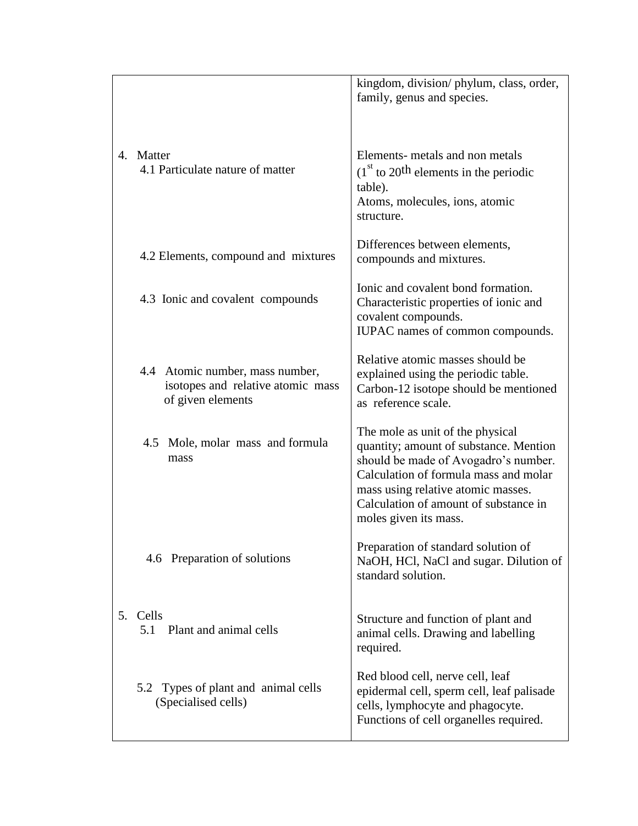|    |                                                                                           | kingdom, division/phylum, class, order,<br>family, genus and species.                                                                                                                                                                                               |
|----|-------------------------------------------------------------------------------------------|---------------------------------------------------------------------------------------------------------------------------------------------------------------------------------------------------------------------------------------------------------------------|
|    | 4. Matter<br>4.1 Particulate nature of matter                                             | Elements- metals and non metals<br>$(1st$ to 20 <sup>th</sup> elements in the periodic<br>table).<br>Atoms, molecules, ions, atomic<br>structure.                                                                                                                   |
|    | 4.2 Elements, compound and mixtures                                                       | Differences between elements,<br>compounds and mixtures.                                                                                                                                                                                                            |
|    | 4.3 Ionic and covalent compounds                                                          | Ionic and covalent bond formation.<br>Characteristic properties of ionic and<br>covalent compounds.<br>IUPAC names of common compounds.                                                                                                                             |
|    | 4.4 Atomic number, mass number,<br>isotopes and relative atomic mass<br>of given elements | Relative atomic masses should be<br>explained using the periodic table.<br>Carbon-12 isotope should be mentioned<br>as reference scale.                                                                                                                             |
|    | 4.5 Mole, molar mass and formula<br>mass                                                  | The mole as unit of the physical<br>quantity; amount of substance. Mention<br>should be made of Avogadro's number.<br>Calculation of formula mass and molar<br>mass using relative atomic masses.<br>Calculation of amount of substance in<br>moles given its mass. |
|    | 4.6 Preparation of solutions                                                              | Preparation of standard solution of<br>NaOH, HCl, NaCl and sugar. Dilution of<br>standard solution.                                                                                                                                                                 |
| 5. | Cells<br>Plant and animal cells<br>5.1                                                    | Structure and function of plant and<br>animal cells. Drawing and labelling<br>required.                                                                                                                                                                             |
|    | 5.2 Types of plant and animal cells<br>(Specialised cells)                                | Red blood cell, nerve cell, leaf<br>epidermal cell, sperm cell, leaf palisade<br>cells, lymphocyte and phagocyte.<br>Functions of cell organelles required.                                                                                                         |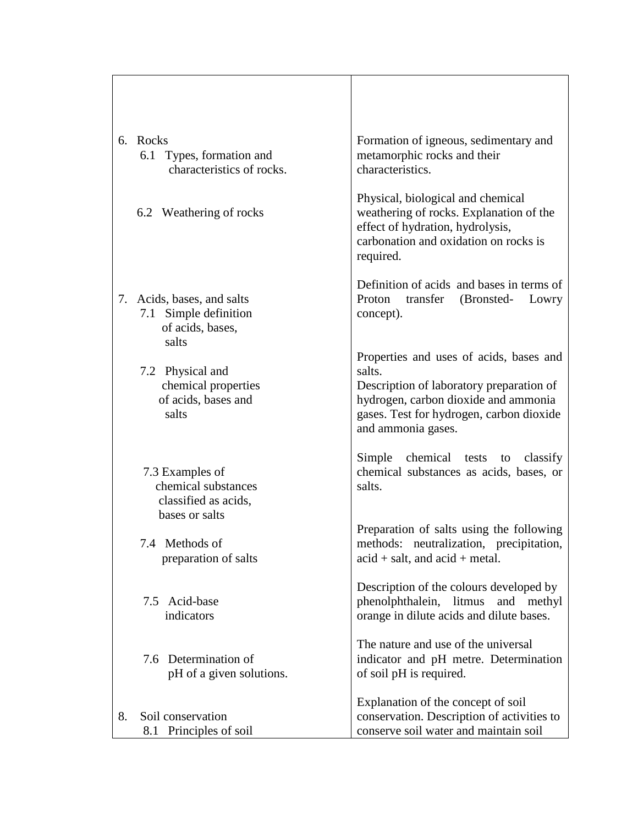|    | 6. Rocks<br>6.1 Types, formation and<br>characteristics of rocks.                | Formation of igneous, sedimentary and<br>metamorphic rocks and their<br>characteristics.                                                                                                                |
|----|----------------------------------------------------------------------------------|---------------------------------------------------------------------------------------------------------------------------------------------------------------------------------------------------------|
|    | 6.2 Weathering of rocks                                                          | Physical, biological and chemical<br>weathering of rocks. Explanation of the<br>effect of hydration, hydrolysis,<br>carbonation and oxidation on rocks is<br>required.                                  |
|    | 7. Acids, bases, and salts<br>7.1 Simple definition<br>of acids, bases,<br>salts | Definition of acids and bases in terms of<br>Proton<br>transfer (Bronsted- Lowry<br>concept).                                                                                                           |
|    | 7.2 Physical and<br>chemical properties<br>of acids, bases and<br>salts          | Properties and uses of acids, bases and<br>salts.<br>Description of laboratory preparation of<br>hydrogen, carbon dioxide and ammonia<br>gases. Test for hydrogen, carbon dioxide<br>and ammonia gases. |
|    | 7.3 Examples of<br>chemical substances<br>classified as acids,<br>bases or salts | Simple chemical tests to classify<br>chemical substances as acids, bases, or<br>salts.                                                                                                                  |
|    | 7.4 Methods of<br>preparation of salts                                           | Preparation of salts using the following<br>methods: neutralization, precipitation,<br>$acid + salt$ , and $acid + metal$ .                                                                             |
|    | 7.5 Acid-base<br>indicators                                                      | Description of the colours developed by<br>phenolphthalein, litmus and methyl<br>orange in dilute acids and dilute bases.                                                                               |
|    | 7.6 Determination of<br>pH of a given solutions.                                 | The nature and use of the universal<br>indicator and pH metre. Determination<br>of soil pH is required.                                                                                                 |
| 8. | Soil conservation<br>8.1 Principles of soil                                      | Explanation of the concept of soil<br>conservation. Description of activities to<br>conserve soil water and maintain soil                                                                               |

 $\mathbf{L}$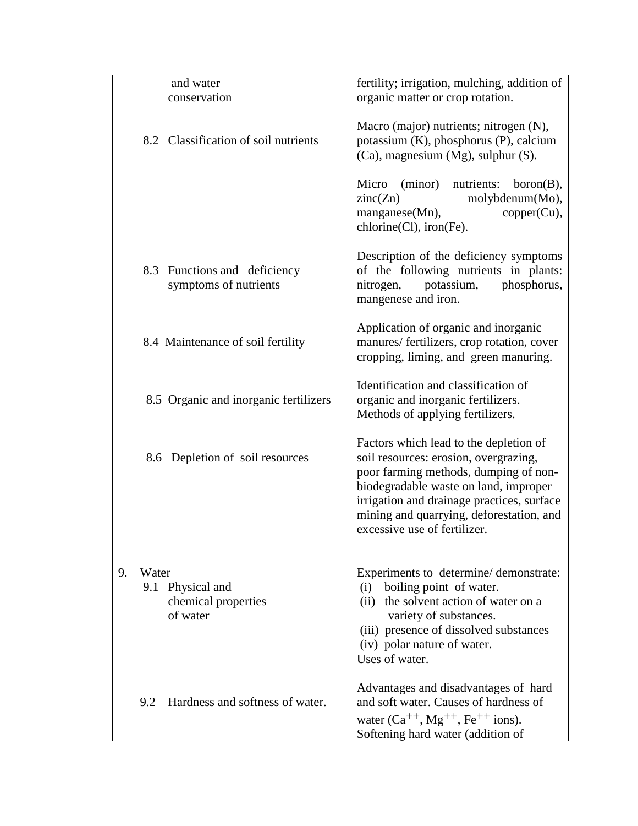|    |       | and water                                           | fertility; irrigation, mulching, addition of                                                                                                                                                                                                                                                |
|----|-------|-----------------------------------------------------|---------------------------------------------------------------------------------------------------------------------------------------------------------------------------------------------------------------------------------------------------------------------------------------------|
|    |       | conservation                                        | organic matter or crop rotation.                                                                                                                                                                                                                                                            |
|    |       | 8.2 Classification of soil nutrients                | Macro (major) nutrients; nitrogen (N),<br>potassium (K), phosphorus (P), calcium<br>(Ca), magnesium (Mg), sulphur (S).                                                                                                                                                                      |
|    |       |                                                     | (minor) nutrients:<br>Micro<br>born(B),<br>zinc(Zn)<br>molybdenum(Mo),<br>$magnese(Mn)$ ,<br>$copper(Cu)$ ,<br>chlorine(Cl), iron(Fe).                                                                                                                                                      |
|    | 8.3   | Functions and deficiency<br>symptoms of nutrients   | Description of the deficiency symptoms<br>of the following nutrients in plants:<br>potassium,<br>nitrogen,<br>phosphorus,<br>mangenese and iron.                                                                                                                                            |
|    |       | 8.4 Maintenance of soil fertility                   | Application of organic and inorganic<br>manures/ fertilizers, crop rotation, cover<br>cropping, liming, and green manuring.                                                                                                                                                                 |
|    |       | 8.5 Organic and inorganic fertilizers               | Identification and classification of<br>organic and inorganic fertilizers.<br>Methods of applying fertilizers.                                                                                                                                                                              |
|    |       | 8.6 Depletion of soil resources                     | Factors which lead to the depletion of<br>soil resources: erosion, overgrazing,<br>poor farming methods, dumping of non-<br>biodegradable waste on land, improper<br>irrigation and drainage practices, surface<br>mining and quarrying, deforestation, and<br>excessive use of fertilizer. |
| 9. | Water | 9.1 Physical and<br>chemical properties<br>of water | Experiments to determine/demonstrate:<br>boiling point of water.<br>(i)<br>the solvent action of water on a<br>(ii)<br>variety of substances.<br>(iii) presence of dissolved substances<br>(iv) polar nature of water.<br>Uses of water.                                                    |
|    | 9.2   | Hardness and softness of water.                     | Advantages and disadvantages of hard<br>and soft water. Causes of hardness of<br>water $(Ca^{++}, Mg^{++}, Fe^{++}$ ions).<br>Softening hard water (addition of                                                                                                                             |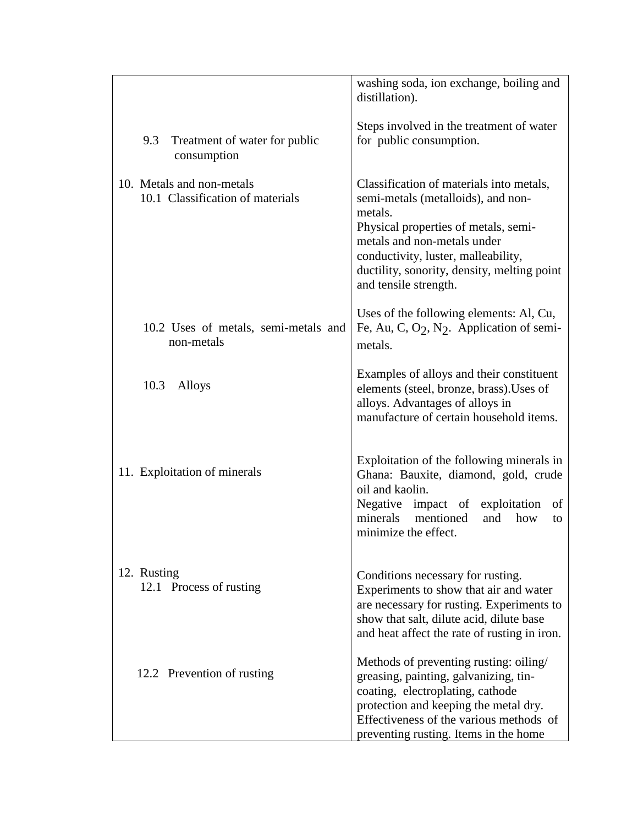|                                      | washing soda, ion exchange, boiling and<br>distillation).                          |
|--------------------------------------|------------------------------------------------------------------------------------|
|                                      | Steps involved in the treatment of water                                           |
| 9.3<br>Treatment of water for public | for public consumption.                                                            |
| consumption                          |                                                                                    |
| 10. Metals and non-metals            | Classification of materials into metals,                                           |
| 10.1 Classification of materials     | semi-metals (metalloids), and non-                                                 |
|                                      | metals.                                                                            |
|                                      | Physical properties of metals, semi-                                               |
|                                      | metals and non-metals under                                                        |
|                                      | conductivity, luster, malleability,<br>ductility, sonority, density, melting point |
|                                      | and tensile strength.                                                              |
|                                      | Uses of the following elements: Al, Cu,                                            |
| 10.2 Uses of metals, semi-metals and | Fe, Au, C, O <sub>2</sub> , N <sub>2</sub> . Application of semi-                  |
| non-metals                           | metals.                                                                            |
|                                      | Examples of alloys and their constituent                                           |
| 10.3<br>Alloys                       | elements (steel, bronze, brass). Uses of                                           |
|                                      | alloys. Advantages of alloys in                                                    |
|                                      | manufacture of certain household items.                                            |
|                                      |                                                                                    |
| 11. Exploitation of minerals         | Exploitation of the following minerals in<br>Ghana: Bauxite, diamond, gold, crude  |
|                                      | oil and kaolin.                                                                    |
|                                      | Negative impact of exploitation<br>of                                              |
|                                      | minerals<br>mentioned<br>and<br>how<br>to                                          |
|                                      | minimize the effect.                                                               |
| 12. Rusting                          | Conditions necessary for rusting.                                                  |
| 12.1 Process of rusting              | Experiments to show that air and water                                             |
|                                      | are necessary for rusting. Experiments to                                          |
|                                      | show that salt, dilute acid, dilute base                                           |
|                                      | and heat affect the rate of rusting in iron.                                       |
|                                      | Methods of preventing rusting: oiling/                                             |
| 12.2 Prevention of rusting           | greasing, painting, galvanizing, tin-                                              |
|                                      | coating, electroplating, cathode                                                   |
|                                      | protection and keeping the metal dry.                                              |
|                                      | Effectiveness of the various methods of<br>preventing rusting. Items in the home   |
|                                      |                                                                                    |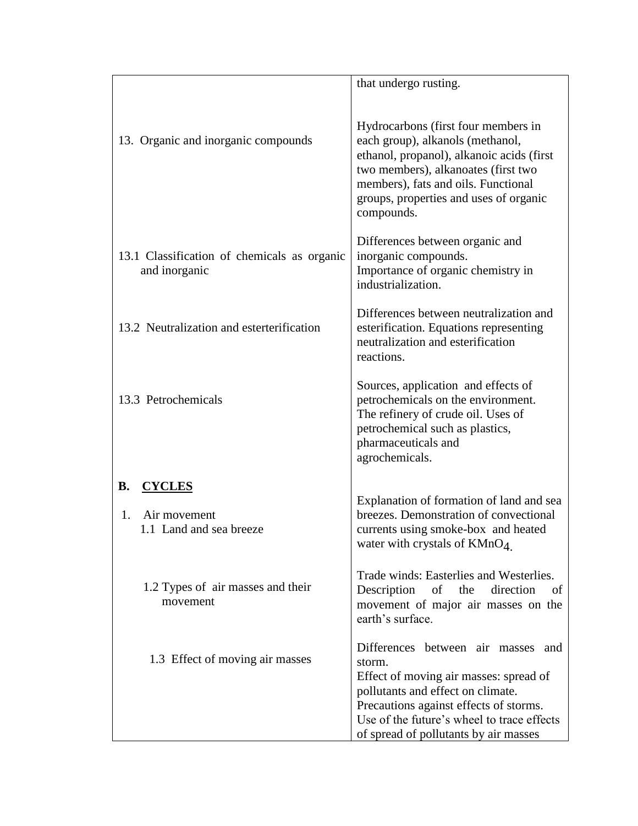|                                                                             | that undergo rusting.                                                                                                                                                                                                                                        |
|-----------------------------------------------------------------------------|--------------------------------------------------------------------------------------------------------------------------------------------------------------------------------------------------------------------------------------------------------------|
| 13. Organic and inorganic compounds                                         | Hydrocarbons (first four members in<br>each group), alkanols (methanol,<br>ethanol, propanol), alkanoic acids (first<br>two members), alkanoates (first two<br>members), fats and oils. Functional<br>groups, properties and uses of organic<br>compounds.   |
| 13.1 Classification of chemicals as organic<br>and inorganic                | Differences between organic and<br>inorganic compounds.<br>Importance of organic chemistry in<br>industrialization.                                                                                                                                          |
| 13.2 Neutralization and esterterification                                   | Differences between neutralization and<br>esterification. Equations representing<br>neutralization and esterification<br>reactions.                                                                                                                          |
| 13.3 Petrochemicals                                                         | Sources, application and effects of<br>petrochemicals on the environment.<br>The refinery of crude oil. Uses of<br>petrochemical such as plastics,<br>pharmaceuticals and<br>agrochemicals.                                                                  |
| <b>CYCLES</b><br><b>B.</b><br>1.<br>Air movement<br>1.1 Land and sea breeze | Explanation of formation of land and sea<br>breezes. Demonstration of convectional<br>currents using smoke-box and heated<br>water with crystals of $KMnO4$ .                                                                                                |
| 1.2 Types of air masses and their<br>movement                               | Trade winds: Easterlies and Westerlies.<br>Description<br>of the<br>direction<br>of<br>movement of major air masses on the<br>earth's surface.                                                                                                               |
| 1.3 Effect of moving air masses                                             | Differences between air masses and<br>storm.<br>Effect of moving air masses: spread of<br>pollutants and effect on climate.<br>Precautions against effects of storms.<br>Use of the future's wheel to trace effects<br>of spread of pollutants by air masses |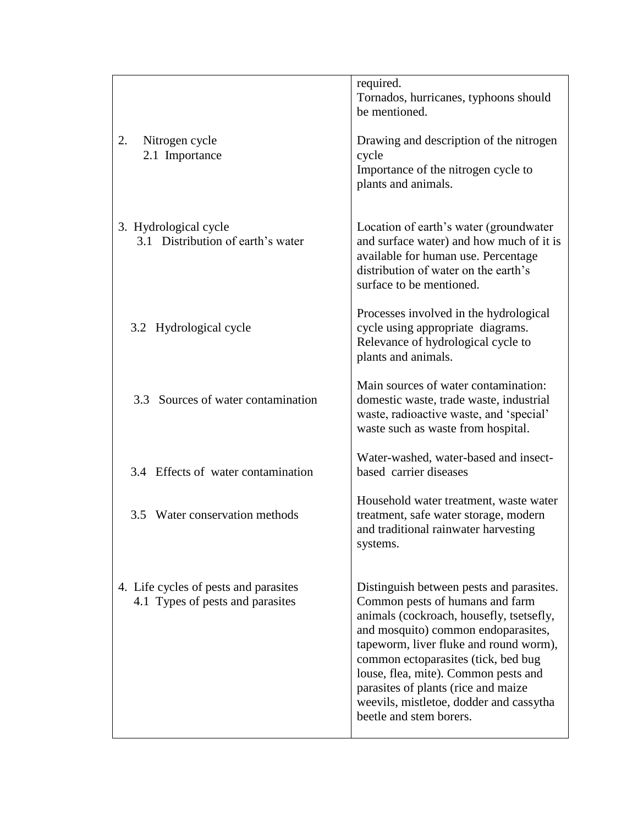|                                                                           | required.<br>Tornados, hurricanes, typhoons should<br>be mentioned.                                                                                                                                                                                                                                                                                                                                  |
|---------------------------------------------------------------------------|------------------------------------------------------------------------------------------------------------------------------------------------------------------------------------------------------------------------------------------------------------------------------------------------------------------------------------------------------------------------------------------------------|
| 2.<br>Nitrogen cycle<br>2.1 Importance                                    | Drawing and description of the nitrogen<br>cycle<br>Importance of the nitrogen cycle to<br>plants and animals.                                                                                                                                                                                                                                                                                       |
| 3. Hydrological cycle<br>3.1 Distribution of earth's water                | Location of earth's water (groundwater)<br>and surface water) and how much of it is<br>available for human use. Percentage<br>distribution of water on the earth's<br>surface to be mentioned.                                                                                                                                                                                                       |
| 3.2 Hydrological cycle                                                    | Processes involved in the hydrological<br>cycle using appropriate diagrams.<br>Relevance of hydrological cycle to<br>plants and animals.                                                                                                                                                                                                                                                             |
| 3.3 Sources of water contamination                                        | Main sources of water contamination:<br>domestic waste, trade waste, industrial<br>waste, radioactive waste, and 'special'<br>waste such as waste from hospital.                                                                                                                                                                                                                                     |
| 3.4 Effects of water contamination                                        | Water-washed, water-based and insect-<br>based carrier diseases                                                                                                                                                                                                                                                                                                                                      |
| Water conservation methods<br>3.5                                         | Household water treatment, waste water<br>treatment, safe water storage, modern<br>and traditional rainwater harvesting<br>systems.                                                                                                                                                                                                                                                                  |
| 4. Life cycles of pests and parasites<br>4.1 Types of pests and parasites | Distinguish between pests and parasites.<br>Common pests of humans and farm<br>animals (cockroach, housefly, tsetsefly,<br>and mosquito) common endoparasites,<br>tapeworm, liver fluke and round worm),<br>common ectoparasites (tick, bed bug<br>louse, flea, mite). Common pests and<br>parasites of plants (rice and maize<br>weevils, mistletoe, dodder and cassytha<br>beetle and stem borers. |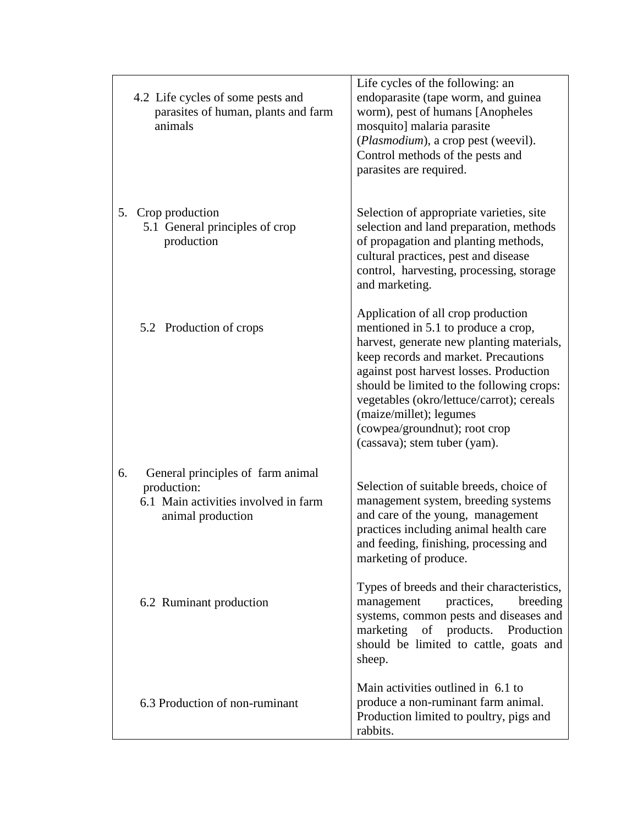|    | 4.2 Life cycles of some pests and<br>parasites of human, plants and farm<br>animals                           | Life cycles of the following: an<br>endoparasite (tape worm, and guinea<br>worm), pest of humans [Anopheles<br>mosquito] malaria parasite<br>(Plasmodium), a crop pest (weevil).<br>Control methods of the pests and<br>parasites are required.                                                                                                                                                 |
|----|---------------------------------------------------------------------------------------------------------------|-------------------------------------------------------------------------------------------------------------------------------------------------------------------------------------------------------------------------------------------------------------------------------------------------------------------------------------------------------------------------------------------------|
| 5. | Crop production<br>5.1 General principles of crop<br>production                                               | Selection of appropriate varieties, site<br>selection and land preparation, methods<br>of propagation and planting methods,<br>cultural practices, pest and disease<br>control, harvesting, processing, storage<br>and marketing.                                                                                                                                                               |
|    | 5.2 Production of crops                                                                                       | Application of all crop production<br>mentioned in 5.1 to produce a crop,<br>harvest, generate new planting materials,<br>keep records and market. Precautions<br>against post harvest losses. Production<br>should be limited to the following crops:<br>vegetables (okro/lettuce/carrot); cereals<br>(maize/millet); legumes<br>(cowpea/groundnut); root crop<br>(cassava); stem tuber (yam). |
| 6. | General principles of farm animal<br>production:<br>6.1 Main activities involved in farm<br>animal production | Selection of suitable breeds, choice of<br>management system, breeding systems<br>and care of the young, management<br>practices including animal health care<br>and feeding, finishing, processing and<br>marketing of produce.                                                                                                                                                                |
|    | 6.2 Ruminant production                                                                                       | Types of breeds and their characteristics,<br>practices,<br>management<br>breeding<br>systems, common pests and diseases and<br>marketing of products. Production<br>should be limited to cattle, goats and<br>sheep.                                                                                                                                                                           |
|    | 6.3 Production of non-ruminant                                                                                | Main activities outlined in 6.1 to<br>produce a non-ruminant farm animal.<br>Production limited to poultry, pigs and<br>rabbits.                                                                                                                                                                                                                                                                |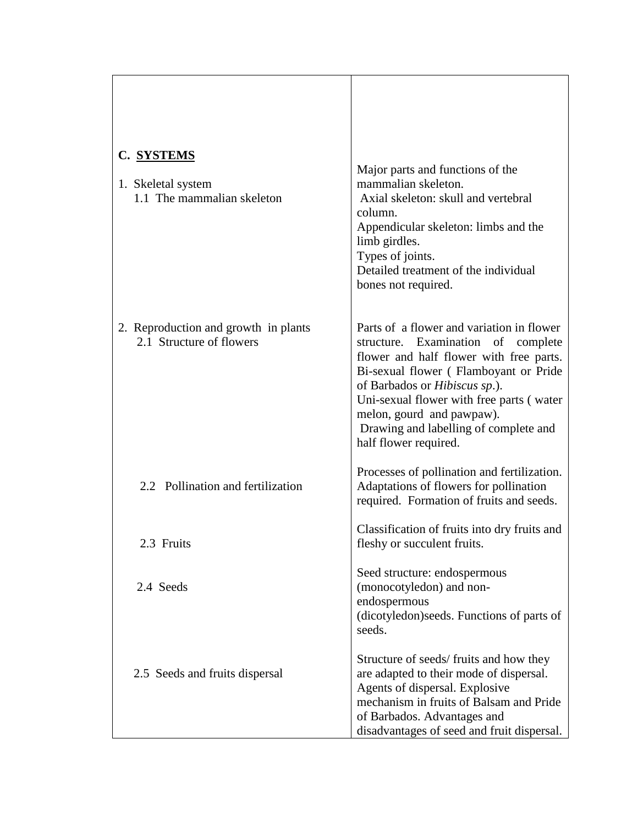| C. SYSTEMS<br>1. Skeletal system<br>1.1 The mammalian skeleton   | Major parts and functions of the<br>mammalian skeleton.<br>Axial skeleton: skull and vertebral<br>column.<br>Appendicular skeleton: limbs and the<br>limb girdles.<br>Types of joints.<br>Detailed treatment of the individual<br>bones not required.                                                                                                   |
|------------------------------------------------------------------|---------------------------------------------------------------------------------------------------------------------------------------------------------------------------------------------------------------------------------------------------------------------------------------------------------------------------------------------------------|
| 2. Reproduction and growth in plants<br>2.1 Structure of flowers | Parts of a flower and variation in flower<br>structure. Examination of complete<br>flower and half flower with free parts.<br>Bi-sexual flower (Flamboyant or Pride<br>of Barbados or <i>Hibiscus sp.</i> ).<br>Uni-sexual flower with free parts (water<br>melon, gourd and pawpaw).<br>Drawing and labelling of complete and<br>half flower required. |
| 2.2 Pollination and fertilization                                | Processes of pollination and fertilization.<br>Adaptations of flowers for pollination<br>required. Formation of fruits and seeds.                                                                                                                                                                                                                       |
| 2.3 Fruits                                                       | Classification of fruits into dry fruits and<br>fleshy or succulent fruits.                                                                                                                                                                                                                                                                             |
| 2.4 Seeds                                                        | Seed structure: endospermous<br>(monocotyledon) and non-<br>endospermous<br>(dicotyledon) seeds. Functions of parts of<br>seeds.                                                                                                                                                                                                                        |
| 2.5 Seeds and fruits dispersal                                   | Structure of seeds/fruits and how they<br>are adapted to their mode of dispersal.<br>Agents of dispersal. Explosive<br>mechanism in fruits of Balsam and Pride<br>of Barbados. Advantages and<br>disadvantages of seed and fruit dispersal.                                                                                                             |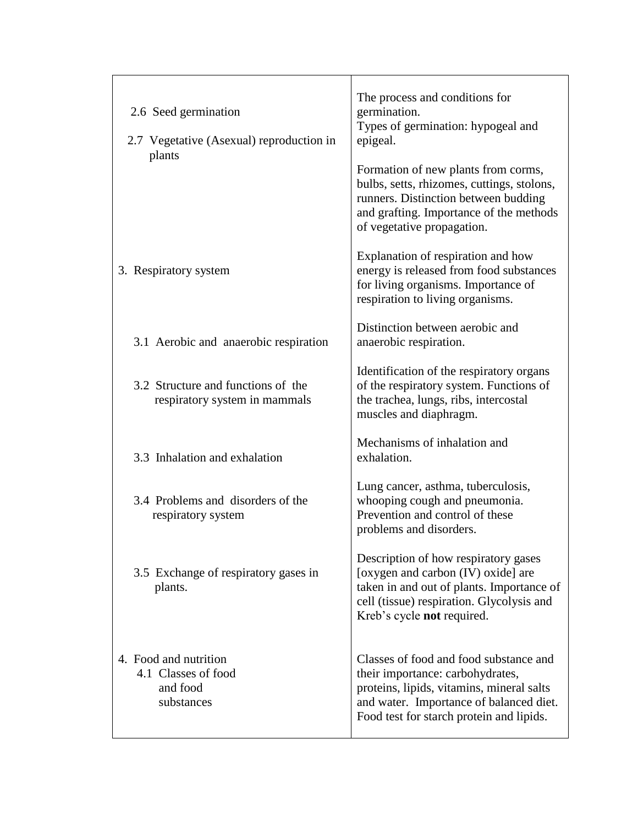| 2.6 Seed germination<br>2.7 Vegetative (Asexual) reproduction in<br>plants | The process and conditions for<br>germination.<br>Types of germination: hypogeal and<br>epigeal.<br>Formation of new plants from corms,<br>bulbs, setts, rhizomes, cuttings, stolons,<br>runners. Distinction between budding<br>and grafting. Importance of the methods<br>of vegetative propagation. |
|----------------------------------------------------------------------------|--------------------------------------------------------------------------------------------------------------------------------------------------------------------------------------------------------------------------------------------------------------------------------------------------------|
| 3. Respiratory system                                                      | Explanation of respiration and how<br>energy is released from food substances<br>for living organisms. Importance of<br>respiration to living organisms.                                                                                                                                               |
| 3.1 Aerobic and anaerobic respiration                                      | Distinction between aerobic and<br>anaerobic respiration.                                                                                                                                                                                                                                              |
| 3.2 Structure and functions of the<br>respiratory system in mammals        | Identification of the respiratory organs<br>of the respiratory system. Functions of<br>the trachea, lungs, ribs, intercostal<br>muscles and diaphragm.                                                                                                                                                 |
| 3.3 Inhalation and exhalation                                              | Mechanisms of inhalation and<br>exhalation.                                                                                                                                                                                                                                                            |
| 3.4 Problems and disorders of the<br>respiratory system                    | Lung cancer, asthma, tuberculosis,<br>whooping cough and pneumonia.<br>Prevention and control of these<br>problems and disorders.                                                                                                                                                                      |
| 3.5 Exchange of respiratory gases in<br>plants.                            | Description of how respiratory gases<br>[oxygen and carbon (IV) oxide] are<br>taken in and out of plants. Importance of<br>cell (tissue) respiration. Glycolysis and<br>Kreb's cycle not required.                                                                                                     |
| 4. Food and nutrition<br>4.1 Classes of food<br>and food<br>substances     | Classes of food and food substance and<br>their importance: carbohydrates,<br>proteins, lipids, vitamins, mineral salts<br>and water. Importance of balanced diet.<br>Food test for starch protein and lipids.                                                                                         |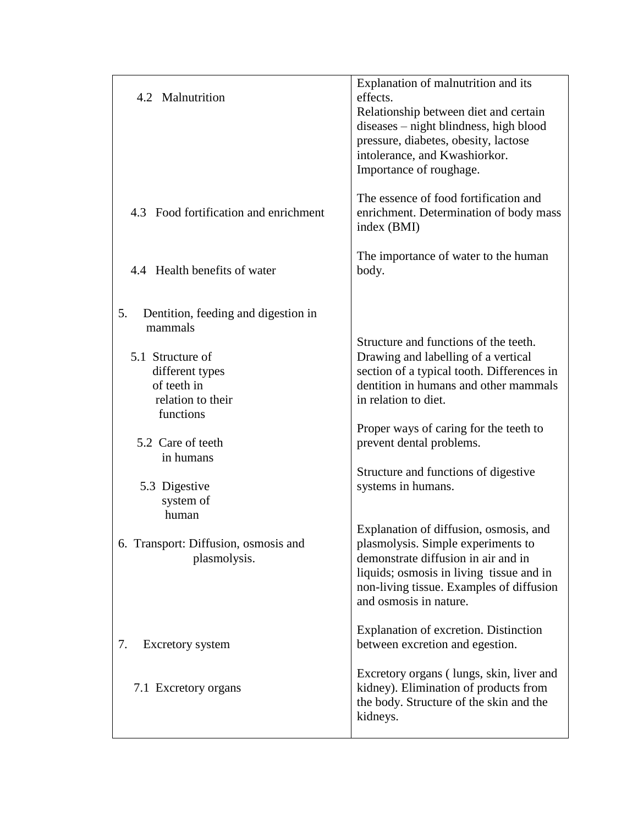| 4.2 Malnutrition                                                                                                                                                                                                                                                              | Explanation of malnutrition and its<br>effects.<br>Relationship between diet and certain<br>diseases – night blindness, high blood<br>pressure, diabetes, obesity, lactose<br>intolerance, and Kwashiorkor.<br>Importance of roughage.                                                                                                                                                                                                                                                                                                                                   |
|-------------------------------------------------------------------------------------------------------------------------------------------------------------------------------------------------------------------------------------------------------------------------------|--------------------------------------------------------------------------------------------------------------------------------------------------------------------------------------------------------------------------------------------------------------------------------------------------------------------------------------------------------------------------------------------------------------------------------------------------------------------------------------------------------------------------------------------------------------------------|
| 4.3 Food fortification and enrichment                                                                                                                                                                                                                                         | The essence of food fortification and<br>enrichment. Determination of body mass<br>index (BMI)                                                                                                                                                                                                                                                                                                                                                                                                                                                                           |
| 4.4 Health benefits of water                                                                                                                                                                                                                                                  | The importance of water to the human<br>body.                                                                                                                                                                                                                                                                                                                                                                                                                                                                                                                            |
| Dentition, feeding and digestion in<br>5.<br>mammals<br>5.1 Structure of<br>different types<br>of teeth in<br>relation to their<br>functions<br>5.2 Care of teeth<br>in humans<br>5.3 Digestive<br>system of<br>human<br>6. Transport: Diffusion, osmosis and<br>plasmolysis. | Structure and functions of the teeth.<br>Drawing and labelling of a vertical<br>section of a typical tooth. Differences in<br>dentition in humans and other mammals<br>in relation to diet.<br>Proper ways of caring for the teeth to<br>prevent dental problems.<br>Structure and functions of digestive<br>systems in humans.<br>Explanation of diffusion, osmosis, and<br>plasmolysis. Simple experiments to<br>demonstrate diffusion in air and in<br>liquids; osmosis in living tissue and in<br>non-living tissue. Examples of diffusion<br>and osmosis in nature. |
| 7.<br><b>Excretory</b> system                                                                                                                                                                                                                                                 | Explanation of excretion. Distinction<br>between excretion and egestion.                                                                                                                                                                                                                                                                                                                                                                                                                                                                                                 |
| 7.1 Excretory organs                                                                                                                                                                                                                                                          | Excretory organs (lungs, skin, liver and<br>kidney). Elimination of products from<br>the body. Structure of the skin and the<br>kidneys.                                                                                                                                                                                                                                                                                                                                                                                                                                 |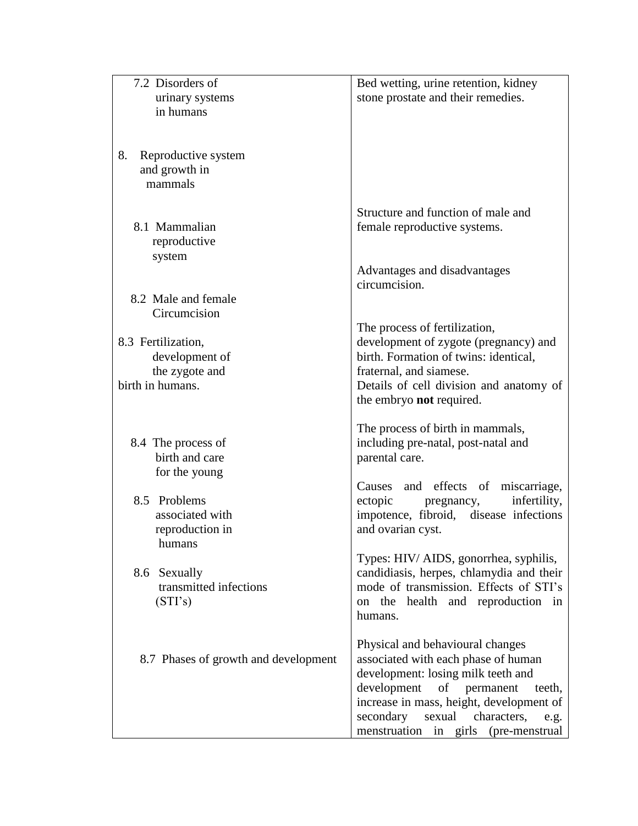| 7.2 Disorders of<br>urinary systems<br>in humans                                           | Bed wetting, urine retention, kidney<br>stone prostate and their remedies.                                                                                                                                                                                                                         |
|--------------------------------------------------------------------------------------------|----------------------------------------------------------------------------------------------------------------------------------------------------------------------------------------------------------------------------------------------------------------------------------------------------|
| 8.<br>Reproductive system<br>and growth in<br>mammals                                      |                                                                                                                                                                                                                                                                                                    |
| 8.1 Mammalian<br>reproductive<br>system                                                    | Structure and function of male and<br>female reproductive systems.                                                                                                                                                                                                                                 |
| 8.2 Male and female                                                                        | Advantages and disadvantages<br>circumcision.                                                                                                                                                                                                                                                      |
| Circumcision<br>8.3 Fertilization,<br>development of<br>the zygote and<br>birth in humans. | The process of fertilization,<br>development of zygote (pregnancy) and<br>birth. Formation of twins: identical,<br>fraternal, and siamese.<br>Details of cell division and anatomy of<br>the embryo not required.                                                                                  |
| 8.4 The process of<br>birth and care<br>for the young                                      | The process of birth in mammals,<br>including pre-natal, post-natal and<br>parental care.                                                                                                                                                                                                          |
| 8.5 Problems<br>associated with<br>reproduction in                                         | and effects of<br>miscarriage,<br>Causes<br>infertility,<br>ectopic<br>pregnancy,<br>impotence, fibroid, disease infections<br>and ovarian cyst.                                                                                                                                                   |
| humans<br>8.6 Sexually<br>transmitted infections<br>(STI's)                                | Types: HIV/ AIDS, gonorrhea, syphilis,<br>candidiasis, herpes, chlamydia and their<br>mode of transmission. Effects of STI's<br>on the health and reproduction in<br>humans.                                                                                                                       |
| 8.7 Phases of growth and development                                                       | Physical and behavioural changes<br>associated with each phase of human<br>development: losing milk teeth and<br>development<br>of<br>permanent<br>teeth,<br>increase in mass, height, development of<br>secondary<br>sexual<br>characters,<br>e.g.<br>menstruation<br>in girls<br>(pre-menstrual) |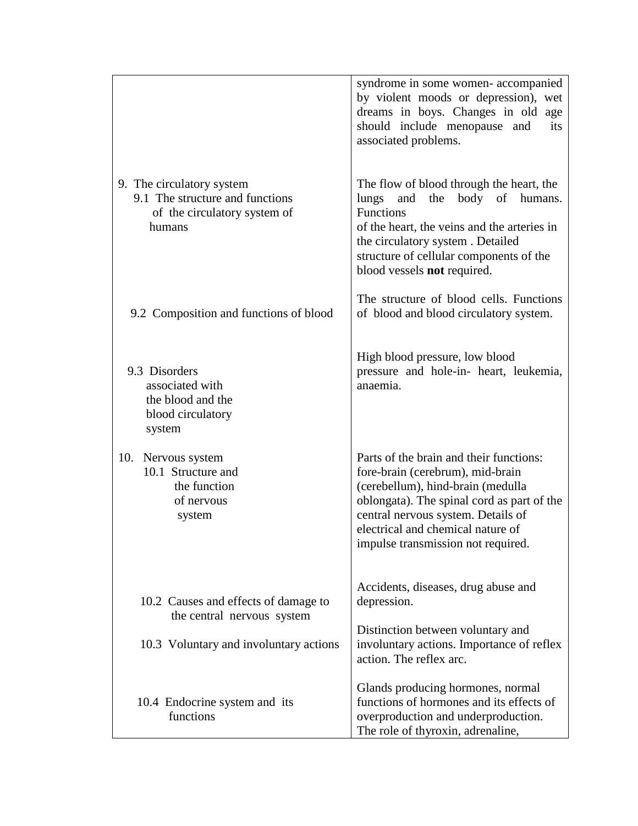|                                                                                                        | syndrome in some women-accompanied<br>by violent moods or depression), wet<br>dreams in boys. Changes in old age<br>should include menopause and<br>its<br>associated problems.                                                                                                 |
|--------------------------------------------------------------------------------------------------------|---------------------------------------------------------------------------------------------------------------------------------------------------------------------------------------------------------------------------------------------------------------------------------|
| 9. The circulatory system<br>9.1 The structure and functions<br>of the circulatory system of<br>humans | The flow of blood through the heart, the<br>the<br>body of<br>lungs<br>and<br>humans.<br><b>Functions</b><br>of the heart, the veins and the arteries in<br>the circulatory system. Detailed<br>structure of cellular components of the<br>blood vessels not required.          |
| 9.2 Composition and functions of blood                                                                 | The structure of blood cells. Functions<br>of blood and blood circulatory system.                                                                                                                                                                                               |
| 9.3 Disorders<br>associated with<br>the blood and the<br>blood circulatory<br>system                   | High blood pressure, low blood<br>pressure and hole-in- heart, leukemia,<br>anaemia.                                                                                                                                                                                            |
| 10. Nervous system<br>10.1 Structure and<br>the function<br>of nervous<br>system                       | Parts of the brain and their functions:<br>fore-brain (cerebrum), mid-brain<br>(cerebellum), hind-brain (medulla<br>oblongata). The spinal cord as part of the<br>central nervous system. Details of<br>electrical and chemical nature of<br>impulse transmission not required. |
| 10.2 Causes and effects of damage to<br>the central nervous system                                     | Accidents, diseases, drug abuse and<br>depression.                                                                                                                                                                                                                              |
| 10.3 Voluntary and involuntary actions                                                                 | Distinction between voluntary and<br>involuntary actions. Importance of reflex<br>action. The reflex arc.                                                                                                                                                                       |
| 10.4 Endocrine system and its<br>functions                                                             | Glands producing hormones, normal<br>functions of hormones and its effects of<br>overproduction and underproduction.<br>The role of thyroxin, adrenaline,                                                                                                                       |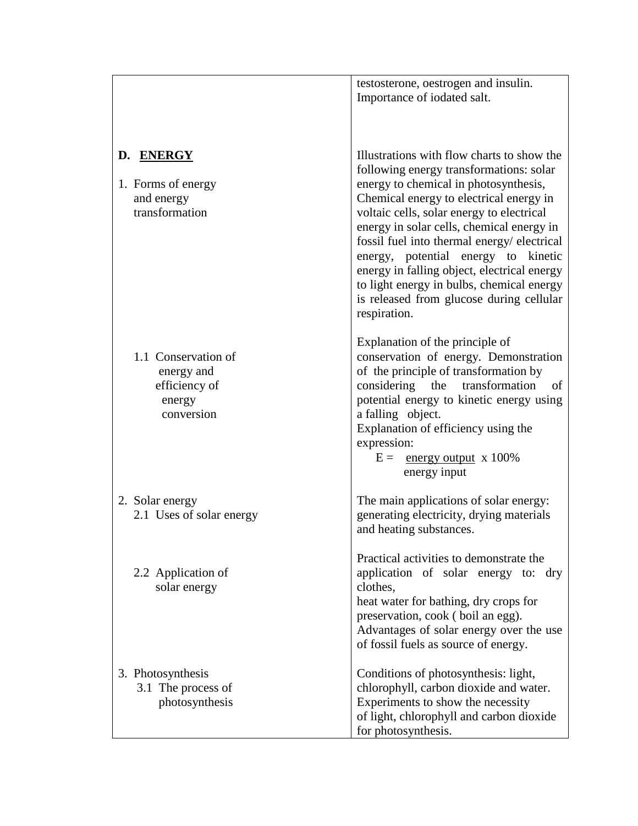|                                                                            | testosterone, oestrogen and insulin.<br>Importance of iodated salt.                                                                                                                                                                                                                                                                                                                                                                                                                                              |
|----------------------------------------------------------------------------|------------------------------------------------------------------------------------------------------------------------------------------------------------------------------------------------------------------------------------------------------------------------------------------------------------------------------------------------------------------------------------------------------------------------------------------------------------------------------------------------------------------|
| D. ENERGY<br>1. Forms of energy<br>and energy<br>transformation            | Illustrations with flow charts to show the<br>following energy transformations: solar<br>energy to chemical in photosynthesis,<br>Chemical energy to electrical energy in<br>voltaic cells, solar energy to electrical<br>energy in solar cells, chemical energy in<br>fossil fuel into thermal energy/electrical<br>energy, potential energy to kinetic<br>energy in falling object, electrical energy<br>to light energy in bulbs, chemical energy<br>is released from glucose during cellular<br>respiration. |
| 1.1 Conservation of<br>energy and<br>efficiency of<br>energy<br>conversion | Explanation of the principle of<br>conservation of energy. Demonstration<br>of the principle of transformation by<br>considering the transformation<br>of<br>potential energy to kinetic energy using<br>a falling object.<br>Explanation of efficiency using the<br>expression:<br>$E =$ energy output x 100%<br>energy input                                                                                                                                                                                   |
| 2. Solar energy<br>2.1 Uses of solar energy                                | The main applications of solar energy:<br>generating electricity, drying materials<br>and heating substances.                                                                                                                                                                                                                                                                                                                                                                                                    |
| 2.2 Application of<br>solar energy                                         | Practical activities to demonstrate the<br>application of solar energy to: dry<br>clothes,<br>heat water for bathing, dry crops for<br>preservation, cook (boil an egg).<br>Advantages of solar energy over the use<br>of fossil fuels as source of energy.                                                                                                                                                                                                                                                      |
| 3. Photosynthesis<br>3.1 The process of<br>photosynthesis                  | Conditions of photosynthesis: light,<br>chlorophyll, carbon dioxide and water.<br>Experiments to show the necessity<br>of light, chlorophyll and carbon dioxide<br>for photosynthesis.                                                                                                                                                                                                                                                                                                                           |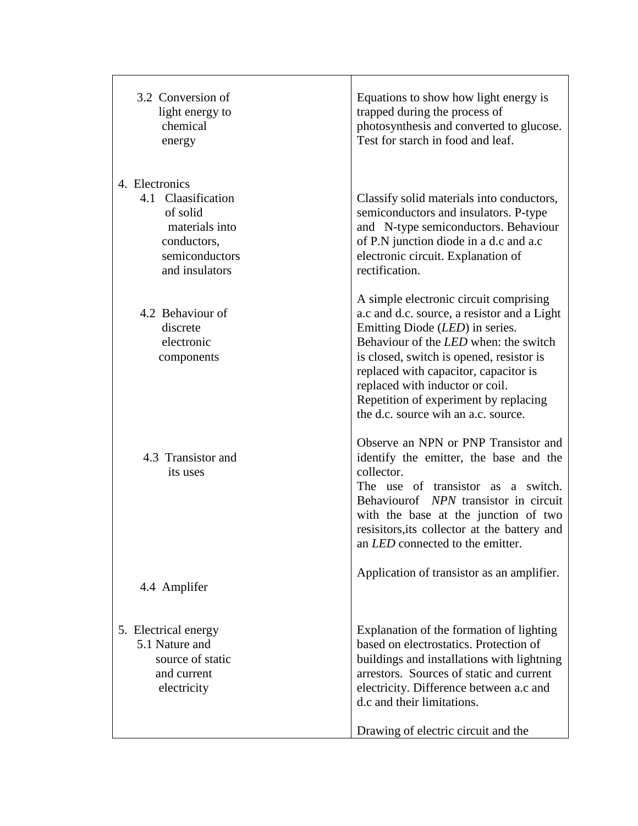| 3.2 Conversion of<br>light energy to<br>chemical<br>energy                                                            | Equations to show how light energy is<br>trapped during the process of<br>photosynthesis and converted to glucose.<br>Test for starch in food and leaf.                                                                                                                                                                                                                          |
|-----------------------------------------------------------------------------------------------------------------------|----------------------------------------------------------------------------------------------------------------------------------------------------------------------------------------------------------------------------------------------------------------------------------------------------------------------------------------------------------------------------------|
| 4. Electronics<br>4.1 Claasification<br>of solid<br>materials into<br>conductors,<br>semiconductors<br>and insulators | Classify solid materials into conductors,<br>semiconductors and insulators. P-type<br>and N-type semiconductors. Behaviour<br>of P.N junction diode in a d.c and a.c<br>electronic circuit. Explanation of<br>rectification.                                                                                                                                                     |
| 4.2 Behaviour of<br>discrete<br>electronic<br>components                                                              | A simple electronic circuit comprising<br>a.c and d.c. source, a resistor and a Light<br>Emitting Diode (LED) in series.<br>Behaviour of the <i>LED</i> when: the switch<br>is closed, switch is opened, resistor is<br>replaced with capacitor, capacitor is<br>replaced with inductor or coil.<br>Repetition of experiment by replacing<br>the d.c. source wih an a.c. source. |
| 4.3 Transistor and<br>its uses                                                                                        | Observe an NPN or PNP Transistor and<br>identify the emitter, the base and the<br>collector.<br>The use of transistor as a switch.<br>Behaviourof NPN transistor in circuit<br>with the base at the junction of two<br>resisitors, its collector at the battery and<br>an LED connected to the emitter.                                                                          |
| 4.4 Amplifer                                                                                                          | Application of transistor as an amplifier.                                                                                                                                                                                                                                                                                                                                       |
| 5. Electrical energy<br>5.1 Nature and<br>source of static<br>and current<br>electricity                              | Explanation of the formation of lighting<br>based on electrostatics. Protection of<br>buildings and installations with lightning<br>arrestors. Sources of static and current<br>electricity. Difference between a.c and<br>d.c and their limitations.<br>Drawing of electric circuit and the                                                                                     |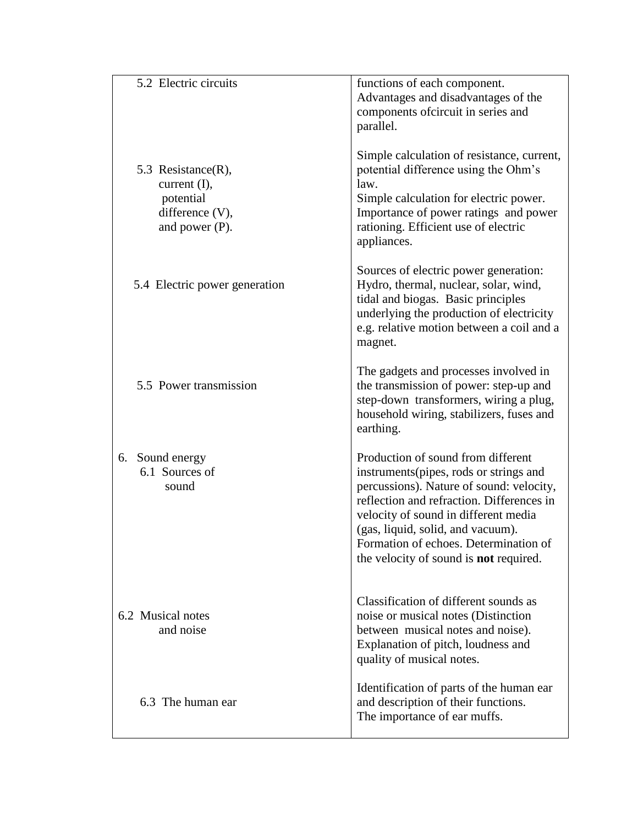| 5.2 Electric circuits                                                                   | functions of each component.<br>Advantages and disadvantages of the<br>components of circuit in series and<br>parallel.                                                                                                                                                                                                                       |
|-----------------------------------------------------------------------------------------|-----------------------------------------------------------------------------------------------------------------------------------------------------------------------------------------------------------------------------------------------------------------------------------------------------------------------------------------------|
| 5.3 Resistance(R),<br>current (I),<br>potential<br>difference (V),<br>and power $(P)$ . | Simple calculation of resistance, current,<br>potential difference using the Ohm's<br>law.<br>Simple calculation for electric power.<br>Importance of power ratings and power<br>rationing. Efficient use of electric<br>appliances.                                                                                                          |
| 5.4 Electric power generation                                                           | Sources of electric power generation:<br>Hydro, thermal, nuclear, solar, wind,<br>tidal and biogas. Basic principles<br>underlying the production of electricity<br>e.g. relative motion between a coil and a<br>magnet.                                                                                                                      |
| 5.5 Power transmission                                                                  | The gadgets and processes involved in<br>the transmission of power: step-up and<br>step-down transformers, wiring a plug,<br>household wiring, stabilizers, fuses and<br>earthing.                                                                                                                                                            |
| 6. Sound energy<br>6.1 Sources of<br>sound                                              | Production of sound from different<br>instruments (pipes, rods or strings and<br>percussions). Nature of sound: velocity,<br>reflection and refraction. Differences in<br>velocity of sound in different media<br>(gas, liquid, solid, and vacuum).<br>Formation of echoes. Determination of<br>the velocity of sound is <b>not</b> required. |
| 6.2 Musical notes<br>and noise                                                          | Classification of different sounds as<br>noise or musical notes (Distinction<br>between musical notes and noise).<br>Explanation of pitch, loudness and<br>quality of musical notes.                                                                                                                                                          |
| 6.3 The human ear                                                                       | Identification of parts of the human ear<br>and description of their functions.<br>The importance of ear muffs.                                                                                                                                                                                                                               |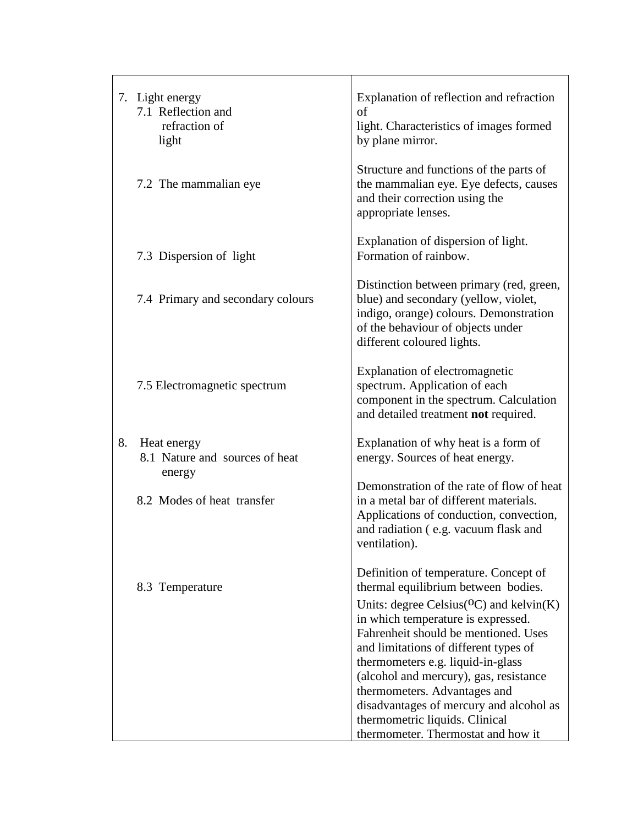|    | 7. Light energy<br>7.1 Reflection and<br>refraction of<br>light | Explanation of reflection and refraction<br>of<br>light. Characteristics of images formed<br>by plane mirror.                                                                                                                                                                                |
|----|-----------------------------------------------------------------|----------------------------------------------------------------------------------------------------------------------------------------------------------------------------------------------------------------------------------------------------------------------------------------------|
|    | 7.2 The mammalian eye                                           | Structure and functions of the parts of<br>the mammalian eye. Eye defects, causes<br>and their correction using the<br>appropriate lenses.                                                                                                                                                   |
|    | 7.3 Dispersion of light                                         | Explanation of dispersion of light.<br>Formation of rainbow.                                                                                                                                                                                                                                 |
|    | 7.4 Primary and secondary colours                               | Distinction between primary (red, green,<br>blue) and secondary (yellow, violet,<br>indigo, orange) colours. Demonstration<br>of the behaviour of objects under<br>different coloured lights.                                                                                                |
|    | 7.5 Electromagnetic spectrum                                    | Explanation of electromagnetic<br>spectrum. Application of each<br>component in the spectrum. Calculation<br>and detailed treatment not required.                                                                                                                                            |
| 8. | Heat energy<br>8.1 Nature and sources of heat<br>energy         | Explanation of why heat is a form of<br>energy. Sources of heat energy.                                                                                                                                                                                                                      |
|    | 8.2 Modes of heat transfer                                      | Demonstration of the rate of flow of heat<br>in a metal bar of different materials.<br>Applications of conduction, convection,<br>and radiation (e.g. vacuum flask and<br>ventilation).                                                                                                      |
|    | 8.3 Temperature                                                 | Definition of temperature. Concept of<br>thermal equilibrium between bodies.<br>Units: degree Celsius( ${}^{0}C$ ) and kelvin(K)<br>in which temperature is expressed.<br>Fahrenheit should be mentioned. Uses<br>and limitations of different types of<br>thermometers e.g. liquid-in-glass |
|    |                                                                 | (alcohol and mercury), gas, resistance<br>thermometers. Advantages and<br>disadvantages of mercury and alcohol as<br>thermometric liquids. Clinical<br>thermometer. Thermostat and how it                                                                                                    |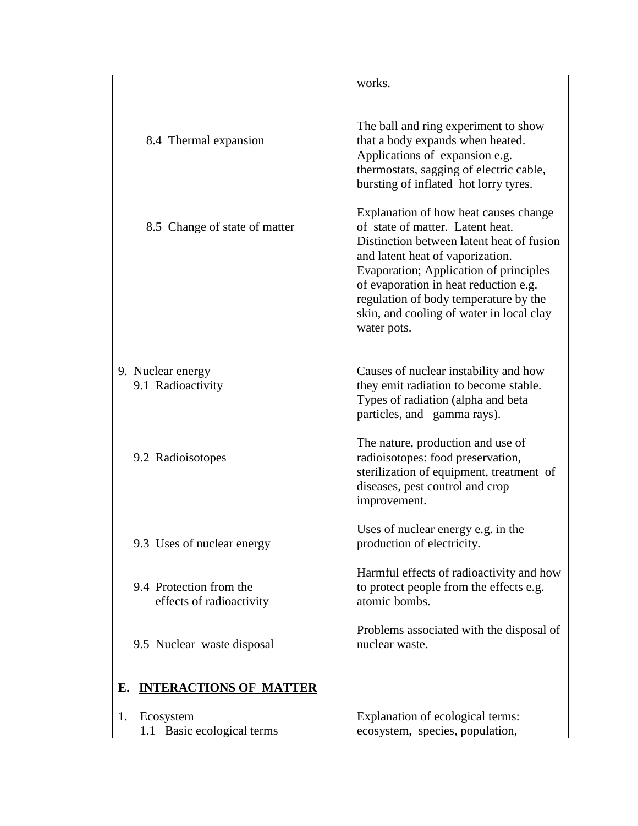|    |                                                     | works.                                                                                                                                                                                                                                                                                                                                            |
|----|-----------------------------------------------------|---------------------------------------------------------------------------------------------------------------------------------------------------------------------------------------------------------------------------------------------------------------------------------------------------------------------------------------------------|
|    | 8.4 Thermal expansion                               | The ball and ring experiment to show<br>that a body expands when heated.<br>Applications of expansion e.g.<br>thermostats, sagging of electric cable,<br>bursting of inflated hot lorry tyres.                                                                                                                                                    |
|    | 8.5 Change of state of matter                       | Explanation of how heat causes change<br>of state of matter. Latent heat.<br>Distinction between latent heat of fusion<br>and latent heat of vaporization.<br>Evaporation; Application of principles<br>of evaporation in heat reduction e.g.<br>regulation of body temperature by the<br>skin, and cooling of water in local clay<br>water pots. |
|    | 9. Nuclear energy<br>9.1 Radioactivity              | Causes of nuclear instability and how<br>they emit radiation to become stable.<br>Types of radiation (alpha and beta<br>particles, and gamma rays).                                                                                                                                                                                               |
|    | 9.2 Radioisotopes                                   | The nature, production and use of<br>radioisotopes: food preservation,<br>sterilization of equipment, treatment of<br>diseases, pest control and crop<br>improvement.                                                                                                                                                                             |
|    | 9.3 Uses of nuclear energy                          | Uses of nuclear energy e.g. in the<br>production of electricity.                                                                                                                                                                                                                                                                                  |
|    | 9.4 Protection from the<br>effects of radioactivity | Harmful effects of radioactivity and how<br>to protect people from the effects e.g.<br>atomic bombs.                                                                                                                                                                                                                                              |
|    | 9.5 Nuclear waste disposal                          | Problems associated with the disposal of<br>nuclear waste.                                                                                                                                                                                                                                                                                        |
| Е. | <b>INTERACTIONS OF MATTER</b>                       |                                                                                                                                                                                                                                                                                                                                                   |
| 1. | Ecosystem<br>1.1 Basic ecological terms             | Explanation of ecological terms:<br>ecosystem, species, population,                                                                                                                                                                                                                                                                               |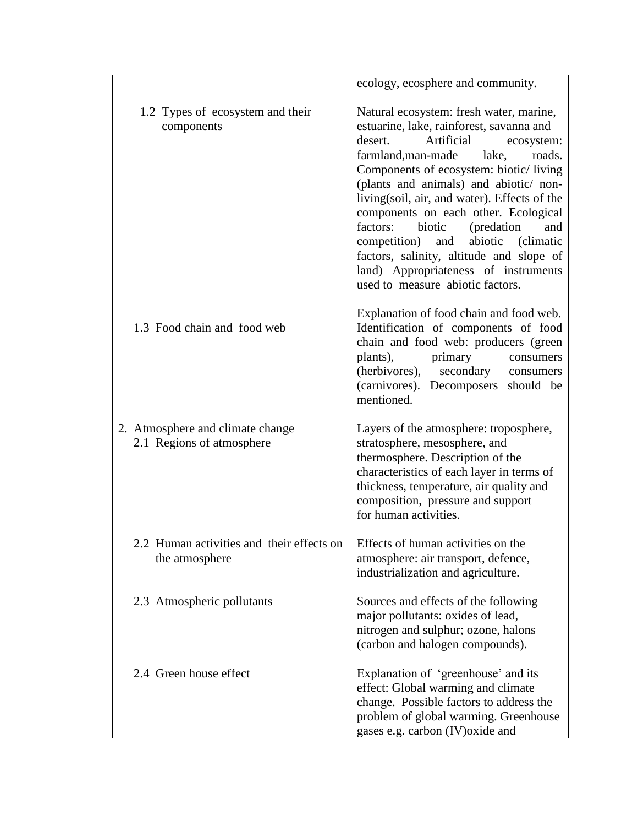|                                                               | ecology, ecosphere and community.                                                                                                                                                                                                                                                                                                                                                                                                                                                                                                                      |
|---------------------------------------------------------------|--------------------------------------------------------------------------------------------------------------------------------------------------------------------------------------------------------------------------------------------------------------------------------------------------------------------------------------------------------------------------------------------------------------------------------------------------------------------------------------------------------------------------------------------------------|
| 1.2 Types of ecosystem and their<br>components                | Natural ecosystem: fresh water, marine,<br>estuarine, lake, rainforest, savanna and<br>desert.<br>Artificial<br>ecosystem:<br>farmland, man-made lake,<br>roads.<br>Components of ecosystem: biotic/living<br>(plants and animals) and abiotic/ non-<br>living(soil, air, and water). Effects of the<br>components on each other. Ecological<br>factors:<br>biotic<br>(predation)<br>and<br>competition) and abiotic (climatic<br>factors, salinity, altitude and slope of<br>land) Appropriateness of instruments<br>used to measure abiotic factors. |
| 1.3 Food chain and food web                                   | Explanation of food chain and food web.<br>Identification of components of food<br>chain and food web: producers (green<br>plants),<br>primary<br>consumers<br>(herbivores), secondary consumers<br>(carnivores). Decomposers should be<br>mentioned.                                                                                                                                                                                                                                                                                                  |
| 2. Atmosphere and climate change<br>2.1 Regions of atmosphere | Layers of the atmosphere: troposphere,<br>stratosphere, mesosphere, and<br>thermosphere. Description of the<br>characteristics of each layer in terms of<br>thickness, temperature, air quality and<br>composition, pressure and support<br>for human activities.                                                                                                                                                                                                                                                                                      |
| 2.2 Human activities and their effects on<br>the atmosphere   | Effects of human activities on the<br>atmosphere: air transport, defence,<br>industrialization and agriculture.                                                                                                                                                                                                                                                                                                                                                                                                                                        |
| 2.3 Atmospheric pollutants                                    | Sources and effects of the following<br>major pollutants: oxides of lead,<br>nitrogen and sulphur; ozone, halons<br>(carbon and halogen compounds).                                                                                                                                                                                                                                                                                                                                                                                                    |
| 2.4 Green house effect                                        | Explanation of 'greenhouse' and its<br>effect: Global warming and climate<br>change. Possible factors to address the<br>problem of global warming. Greenhouse<br>gases e.g. carbon (IV) oxide and                                                                                                                                                                                                                                                                                                                                                      |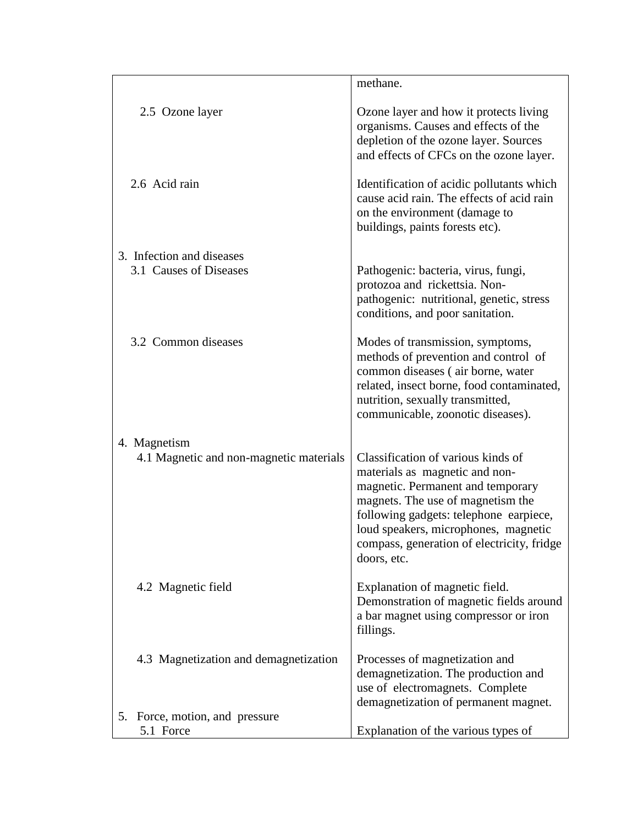| 2.5 Ozone layer<br>Ozone layer and how it protects living<br>organisms. Causes and effects of the<br>depletion of the ozone layer. Sources<br>and effects of CFCs on the ozone layer.<br>2.6 Acid rain<br>Identification of acidic pollutants which<br>cause acid rain. The effects of acid rain<br>on the environment (damage to<br>buildings, paints forests etc).<br>3. Infection and diseases<br>3.1 Causes of Diseases<br>Pathogenic: bacteria, virus, fungi,<br>protozoa and rickettsia. Non-<br>pathogenic: nutritional, genetic, stress<br>conditions, and poor sanitation.<br>3.2 Common diseases<br>Modes of transmission, symptoms,<br>methods of prevention and control of<br>common diseases (air borne, water<br>related, insect borne, food contaminated,<br>nutrition, sexually transmitted,<br>communicable, zoonotic diseases).<br>4. Magnetism<br>Classification of various kinds of<br>4.1 Magnetic and non-magnetic materials<br>materials as magnetic and non-<br>magnetic. Permanent and temporary<br>magnets. The use of magnetism the<br>following gadgets: telephone earpiece,<br>loud speakers, microphones, magnetic<br>compass, generation of electricity, fridge<br>doors, etc.<br>Explanation of magnetic field.<br>4.2 Magnetic field<br>Demonstration of magnetic fields around<br>a bar magnet using compressor or iron<br>fillings.<br>4.3 Magnetization and demagnetization<br>Processes of magnetization and<br>demagnetization. The production and<br>use of electromagnets. Complete | methane. |
|-----------------------------------------------------------------------------------------------------------------------------------------------------------------------------------------------------------------------------------------------------------------------------------------------------------------------------------------------------------------------------------------------------------------------------------------------------------------------------------------------------------------------------------------------------------------------------------------------------------------------------------------------------------------------------------------------------------------------------------------------------------------------------------------------------------------------------------------------------------------------------------------------------------------------------------------------------------------------------------------------------------------------------------------------------------------------------------------------------------------------------------------------------------------------------------------------------------------------------------------------------------------------------------------------------------------------------------------------------------------------------------------------------------------------------------------------------------------------------------------------------------------------------|----------|
|                                                                                                                                                                                                                                                                                                                                                                                                                                                                                                                                                                                                                                                                                                                                                                                                                                                                                                                                                                                                                                                                                                                                                                                                                                                                                                                                                                                                                                                                                                                             |          |
|                                                                                                                                                                                                                                                                                                                                                                                                                                                                                                                                                                                                                                                                                                                                                                                                                                                                                                                                                                                                                                                                                                                                                                                                                                                                                                                                                                                                                                                                                                                             |          |
|                                                                                                                                                                                                                                                                                                                                                                                                                                                                                                                                                                                                                                                                                                                                                                                                                                                                                                                                                                                                                                                                                                                                                                                                                                                                                                                                                                                                                                                                                                                             |          |
|                                                                                                                                                                                                                                                                                                                                                                                                                                                                                                                                                                                                                                                                                                                                                                                                                                                                                                                                                                                                                                                                                                                                                                                                                                                                                                                                                                                                                                                                                                                             |          |
|                                                                                                                                                                                                                                                                                                                                                                                                                                                                                                                                                                                                                                                                                                                                                                                                                                                                                                                                                                                                                                                                                                                                                                                                                                                                                                                                                                                                                                                                                                                             |          |
|                                                                                                                                                                                                                                                                                                                                                                                                                                                                                                                                                                                                                                                                                                                                                                                                                                                                                                                                                                                                                                                                                                                                                                                                                                                                                                                                                                                                                                                                                                                             |          |
| demagnetization of permanent magnet.                                                                                                                                                                                                                                                                                                                                                                                                                                                                                                                                                                                                                                                                                                                                                                                                                                                                                                                                                                                                                                                                                                                                                                                                                                                                                                                                                                                                                                                                                        |          |
| 5. Force, motion, and pressure<br>Explanation of the various types of<br>5.1 Force                                                                                                                                                                                                                                                                                                                                                                                                                                                                                                                                                                                                                                                                                                                                                                                                                                                                                                                                                                                                                                                                                                                                                                                                                                                                                                                                                                                                                                          |          |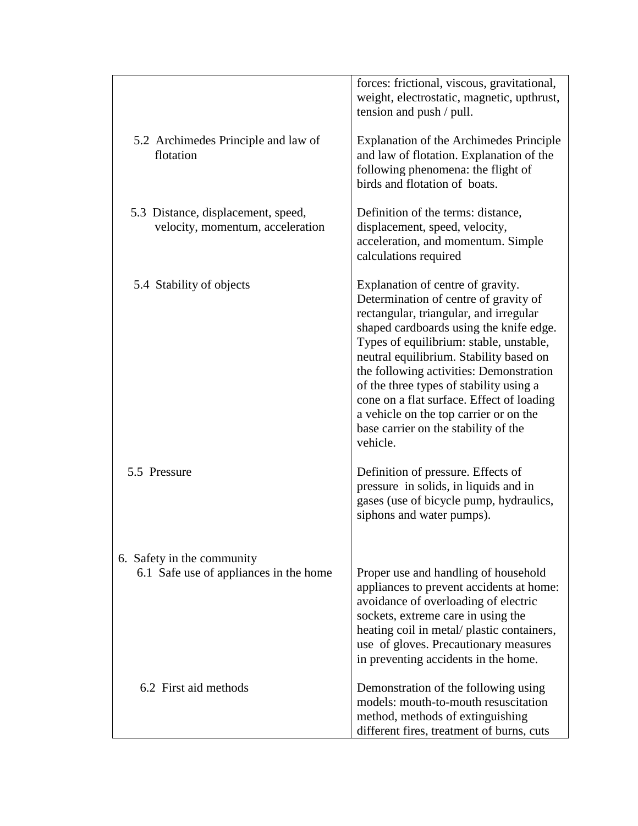|                                                                        | forces: frictional, viscous, gravitational,<br>weight, electrostatic, magnetic, upthrust,<br>tension and push / pull.                                                                                                                                                                                                                                                                                                                                                                  |
|------------------------------------------------------------------------|----------------------------------------------------------------------------------------------------------------------------------------------------------------------------------------------------------------------------------------------------------------------------------------------------------------------------------------------------------------------------------------------------------------------------------------------------------------------------------------|
| 5.2 Archimedes Principle and law of<br>flotation                       | Explanation of the Archimedes Principle<br>and law of flotation. Explanation of the<br>following phenomena: the flight of<br>birds and flotation of boats.                                                                                                                                                                                                                                                                                                                             |
| 5.3 Distance, displacement, speed,<br>velocity, momentum, acceleration | Definition of the terms: distance,<br>displacement, speed, velocity,<br>acceleration, and momentum. Simple<br>calculations required                                                                                                                                                                                                                                                                                                                                                    |
| 5.4 Stability of objects                                               | Explanation of centre of gravity.<br>Determination of centre of gravity of<br>rectangular, triangular, and irregular<br>shaped cardboards using the knife edge.<br>Types of equilibrium: stable, unstable,<br>neutral equilibrium. Stability based on<br>the following activities: Demonstration<br>of the three types of stability using a<br>cone on a flat surface. Effect of loading<br>a vehicle on the top carrier or on the<br>base carrier on the stability of the<br>vehicle. |
| 5.5 Pressure                                                           | Definition of pressure. Effects of<br>pressure in solids, in liquids and in<br>gases (use of bicycle pump, hydraulics,<br>siphons and water pumps).                                                                                                                                                                                                                                                                                                                                    |
| 6. Safety in the community<br>6.1 Safe use of appliances in the home   | Proper use and handling of household<br>appliances to prevent accidents at home:<br>avoidance of overloading of electric<br>sockets, extreme care in using the<br>heating coil in metal/ plastic containers,<br>use of gloves. Precautionary measures<br>in preventing accidents in the home.                                                                                                                                                                                          |
| 6.2 First aid methods                                                  | Demonstration of the following using<br>models: mouth-to-mouth resuscitation<br>method, methods of extinguishing<br>different fires, treatment of burns, cuts                                                                                                                                                                                                                                                                                                                          |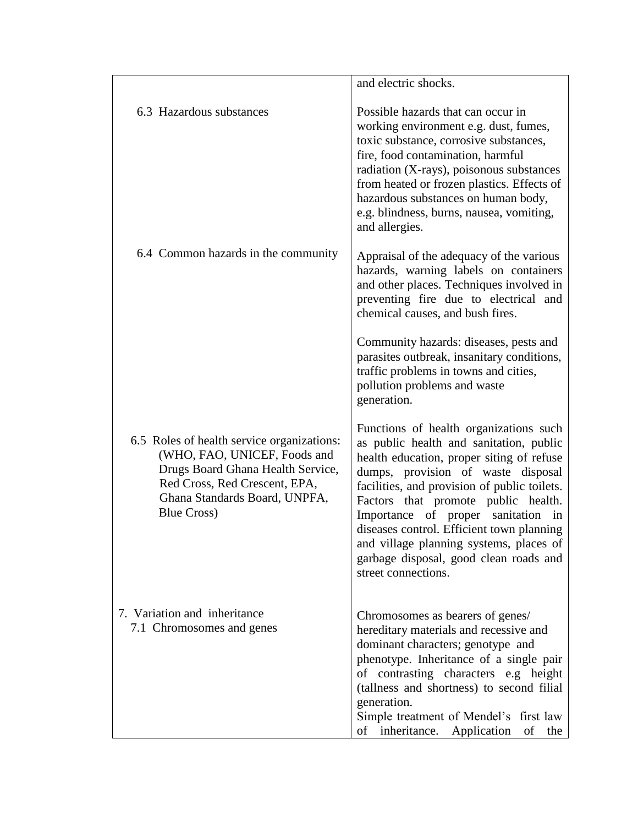|                                                                                                                                                                                                         | and electric shocks.                                                                                                                                                                                                                                                                                                                                                                                                                                       |
|---------------------------------------------------------------------------------------------------------------------------------------------------------------------------------------------------------|------------------------------------------------------------------------------------------------------------------------------------------------------------------------------------------------------------------------------------------------------------------------------------------------------------------------------------------------------------------------------------------------------------------------------------------------------------|
| 6.3 Hazardous substances                                                                                                                                                                                | Possible hazards that can occur in<br>working environment e.g. dust, fumes,<br>toxic substance, corrosive substances,<br>fire, food contamination, harmful<br>radiation (X-rays), poisonous substances<br>from heated or frozen plastics. Effects of<br>hazardous substances on human body,<br>e.g. blindness, burns, nausea, vomiting,<br>and allergies.                                                                                                  |
| 6.4 Common hazards in the community                                                                                                                                                                     | Appraisal of the adequacy of the various<br>hazards, warning labels on containers<br>and other places. Techniques involved in<br>preventing fire due to electrical and<br>chemical causes, and bush fires.                                                                                                                                                                                                                                                 |
|                                                                                                                                                                                                         | Community hazards: diseases, pests and<br>parasites outbreak, insanitary conditions,<br>traffic problems in towns and cities,<br>pollution problems and waste<br>generation.                                                                                                                                                                                                                                                                               |
| 6.5 Roles of health service organizations:<br>(WHO, FAO, UNICEF, Foods and<br>Drugs Board Ghana Health Service,<br>Red Cross, Red Crescent, EPA,<br>Ghana Standards Board, UNPFA,<br><b>Blue Cross)</b> | Functions of health organizations such<br>as public health and sanitation, public<br>health education, proper siting of refuse<br>dumps, provision of waste disposal<br>facilities, and provision of public toilets.<br>Factors that promote public health.<br>Importance of proper sanitation in<br>diseases control. Efficient town planning<br>and village planning systems, places of<br>garbage disposal, good clean roads and<br>street connections. |
| 7. Variation and inheritance<br>7.1 Chromosomes and genes                                                                                                                                               | Chromosomes as bearers of genes/<br>hereditary materials and recessive and<br>dominant characters; genotype and<br>phenotype. Inheritance of a single pair<br>of contrasting characters e.g height<br>(tallness and shortness) to second filial<br>generation.<br>Simple treatment of Mendel's first law<br>inheritance.<br>Application<br>of<br>οf<br>the                                                                                                 |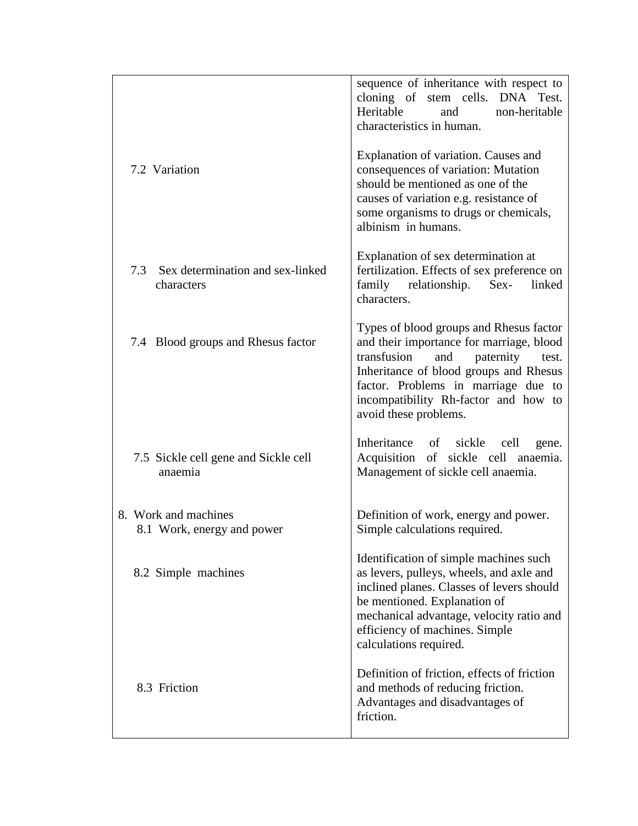|                                                    | sequence of inheritance with respect to<br>cloning of stem cells. DNA Test.<br>Heritable<br>non-heritable<br>and<br>characteristics in human.                                                                                                                                     |
|----------------------------------------------------|-----------------------------------------------------------------------------------------------------------------------------------------------------------------------------------------------------------------------------------------------------------------------------------|
| 7.2 Variation                                      | Explanation of variation. Causes and<br>consequences of variation: Mutation<br>should be mentioned as one of the<br>causes of variation e.g. resistance of<br>some organisms to drugs or chemicals,<br>albinism in humans.                                                        |
| 7.3 Sex determination and sex-linked<br>characters | Explanation of sex determination at<br>fertilization. Effects of sex preference on<br>family relationship.<br>$Sex-$<br>linked<br>characters.                                                                                                                                     |
| 7.4 Blood groups and Rhesus factor                 | Types of blood groups and Rhesus factor<br>and their importance for marriage, blood<br>paternity<br>transfusion<br>and<br>test.<br>Inheritance of blood groups and Rhesus<br>factor. Problems in marriage due to<br>incompatibility Rh-factor and how to<br>avoid these problems. |
| 7.5 Sickle cell gene and Sickle cell<br>anaemia    | Inheritance of sickle<br>cell<br>gene.<br>Acquisition of sickle cell anaemia.<br>Management of sickle cell anaemia.                                                                                                                                                               |
| 8. Work and machines<br>8.1 Work, energy and power | Definition of work, energy and power.<br>Simple calculations required.                                                                                                                                                                                                            |
| 8.2 Simple machines                                | Identification of simple machines such<br>as levers, pulleys, wheels, and axle and<br>inclined planes. Classes of levers should<br>be mentioned. Explanation of<br>mechanical advantage, velocity ratio and<br>efficiency of machines. Simple<br>calculations required.           |
| 8.3 Friction                                       | Definition of friction, effects of friction<br>and methods of reducing friction.<br>Advantages and disadvantages of<br>friction.                                                                                                                                                  |